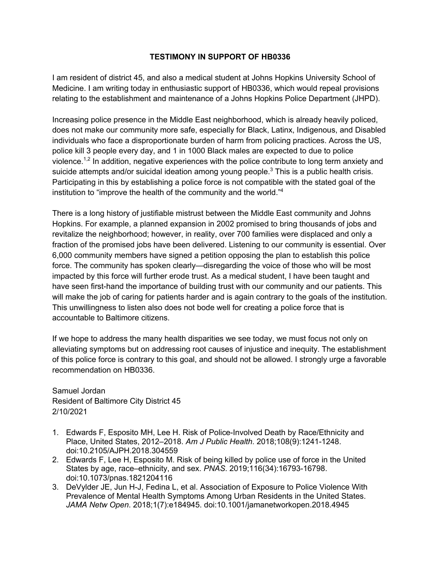## **TESTIMONY IN SUPPORT OF HB0336**

I am resident of district 45, and also a medical student at Johns Hopkins University School of Medicine. I am writing today in enthusiastic support of HB0336, which would repeal provisions relating to the establishment and maintenance of a Johns Hopkins Police Department (JHPD).

Increasing police presence in the Middle East neighborhood, which is already heavily policed, does not make our community more safe, especially for Black, Latinx, Indigenous, and Disabled individuals who face a disproportionate burden of harm from policing practices. Across the US, police kill 3 people every day, and 1 in 1000 Black males are expected to due to police violence.<sup>1,2</sup> In addition, negative experiences with the police contribute to long term anxiety and suicide attempts and/or suicidal ideation among young people.<sup>3</sup> This is a public health crisis. Participating in this by establishing a police force is not compatible with the stated goal of the institution to "improve the health of the community and the world."<sup>4</sup>

There is a long history of justifiable mistrust between the Middle East community and Johns Hopkins. For example, a planned expansion in 2002 promised to bring thousands of jobs and revitalize the neighborhood; however, in reality, over 700 families were displaced and only a fraction of the promised jobs have been delivered. Listening to our community is essential. Over 6,000 community members have signed a petition opposing the plan to establish this police force. The community has spoken clearly—disregarding the voice of those who will be most impacted by this force will further erode trust. As a medical student, I have been taught and have seen first-hand the importance of building trust with our community and our patients. This will make the job of caring for patients harder and is again contrary to the goals of the institution. This unwillingness to listen also does not bode well for creating a police force that is accountable to Baltimore citizens.

If we hope to address the many health disparities we see today, we must focus not only on alleviating symptoms but on addressing root causes of injustice and inequity. The establishment of this police force is contrary to this goal, and should not be allowed. I strongly urge a favorable recommendation on HB0336.

Samuel Jordan Resident of Baltimore City District 45 2/10/2021

- 1. Edwards F, Esposito MH, Lee H. Risk of Police-Involved Death by Race/Ethnicity and Place, United States, 2012–2018. *Am J Public Health*. 2018;108(9):1241-1248. doi:10.2105/AJPH.2018.304559
- 2. Edwards F, Lee H, Esposito M. Risk of being killed by police use of force in the United States by age, race–ethnicity, and sex. *PNAS*. 2019;116(34):16793-16798. doi:10.1073/pnas.1821204116
- 3. DeVylder JE, Jun H-J, Fedina L, et al. Association of Exposure to Police Violence With Prevalence of Mental Health Symptoms Among Urban Residents in the United States. *JAMA Netw Open*. 2018;1(7):e184945. doi:10.1001/jamanetworkopen.2018.4945